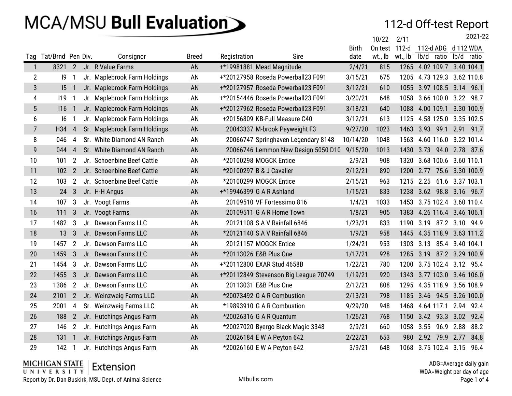#### 112-d Off-test Report

|                |                       |                         |                              |              |              |                                       |              | 10/22         | 2/11      |            |                            |            | 2021-22 |
|----------------|-----------------------|-------------------------|------------------------------|--------------|--------------|---------------------------------------|--------------|---------------|-----------|------------|----------------------------|------------|---------|
|                |                       |                         |                              |              |              |                                       | <b>Birth</b> | On test 112-d |           |            | 112-d ADG d 112 WDA        |            |         |
|                | Tag Tat/Brnd Pen Div. |                         | Consignor                    | <b>Breed</b> | Registration | Sire                                  | date         | wt., lb       | wt., lb   | lb/d ratio |                            | lb/d ratio |         |
| $\overline{1}$ | 8321 2                |                         | Jr. R Value Farms            | <b>AN</b>    |              | +*19981881 Mead Magnitude             | 2/4/21       | 815           |           |            | 1265 4.02 109.7 3.40 104.1 |            |         |
| $\overline{2}$ | $ 9\rangle$           | - 1                     | Jr. Maplebrook Farm Holdings | AN           |              | +*20127958 Roseda Powerball23 F091    | 3/15/21      | 675           |           |            | 1205 4.73 129.3 3.62 110.8 |            |         |
| 3              | $15-1$                |                         | Jr. Maplebrook Farm Holdings | AN           |              | +*20127957 Roseda Powerball23 F091    | 3/12/21      | 610           |           |            | 1055 3.97 108.5 3.14 96.1  |            |         |
| 4              | $119$ 1               |                         | Jr. Maplebrook Farm Holdings | AN           |              | +*20154446 Roseda Powerball23 F091    | 3/20/21      | 648           |           |            | 1058 3.66 100.0 3.22 98.7  |            |         |
| 5              | $116$ 1               |                         | Jr. Maplebrook Farm Holdings | AN           |              | +*20127962 Roseda Powerball23 F091    | 3/18/21      | 640           |           |            | 1088 4.00 109.1 3.30 100.9 |            |         |
| 6              | 16                    |                         | Jr. Maplebrook Farm Holdings | AN           |              | +20156809 KB-Full Measure C40         | 3/12/21      | 613           |           |            | 1125 4.58 125.0 3.35 102.5 |            |         |
| $\overline{7}$ | H34                   | $\overline{4}$          | Sr. Maplebrook Farm Holdings | AN           |              | 20043337 M-brook Payweight F3         | 9/27/20      | 1023          |           |            | 1463 3.93 99.1 2.91 91.7   |            |         |
| 8              | 046                   | 4                       | Sr. White Diamond AN Ranch   | AN           |              | 20066747 Springhaven Legendary 8148   | 10/14/20     | 1048          | 1563      |            | 4.60 116.0 3.22 101.4      |            |         |
| 9              | 044 4                 |                         | Sr. White Diamond AN Ranch   | AN           |              | 20066746 Lemmon New Design 5050 D10   | 9/15/20      | 1013          |           |            | 1430 3.73 94.0 2.78 87.6   |            |         |
| 10             | 101                   | $\overline{2}$          | Jr. Schoenbine Beef Cattle   | AN           |              | *20100298 MOGCK Entice                | 2/9/21       | 908           | 1320      |            | 3.68 100.6 3.60 110.1      |            |         |
| 11             | 102 <sub>2</sub>      |                         | Jr. Schoenbine Beef Cattle   | AN           |              | *20100297 B & J Cavalier              | 2/12/21      | 890           |           |            | 1200 2.77 75.6 3.30 100.9  |            |         |
| 12             | 103                   | $\overline{2}$          | Jr. Schoenbine Beef Cattle   | AN           |              | *20100299 MOGCK Entice                | 2/15/21      | 963           | 1215 2.25 |            | 61.6 3.37 103.1            |            |         |
| 13             | 24 <sub>3</sub>       |                         | Jr. H-H Angus                | AN           |              | +*19946399 G A R Ashland              | 1/15/21      | 833           |           |            | 1238 3.62 98.8 3.16 96.7   |            |         |
| 14             | 107 <sub>3</sub>      |                         | Jr. Voogt Farms              | AN           |              | 20109510 VF Fortessimo 816            | 1/4/21       | 1033          |           |            | 1453 3.75 102.4 3.60 110.4 |            |         |
| 16             | 111                   | $\overline{3}$          | Jr. Voogt Farms              | AN           |              | 20109511 G A R Home Town              | 1/8/21       | 905           |           |            | 1383 4.26 116.4 3.46 106.1 |            |         |
| 17             | 1482 3                |                         | Jr. Dawson Farms LLC         | AN           |              | 20121108 S A V Rainfall 6846          | 1/23/21      | 833           |           |            | 1190 3.19 87.2 3.10 94.9   |            |         |
| 18             | 13 <sup>3</sup>       |                         | Jr. Dawson Farms LLC         | AN           |              | *20121140 S A V Rainfall 6846         | 1/9/21       | 958           |           |            | 1445 4.35 118.9 3.63 111.2 |            |         |
| 19             | 1457 2                |                         | Jr. Dawson Farms LLC         | AN           |              | 20121157 MOGCK Entice                 | 1/24/21      | 953           |           |            | 1303 3.13 85.4 3.40 104.1  |            |         |
| 20             | 1459                  | $\overline{\mathbf{3}}$ | Jr. Dawson Farms LLC         | AN           |              | *20113026 E&B Plus One                | 1/17/21      | 928           |           |            | 1285 3.19 87.2 3.29 100.9  |            |         |
| 21             | 1454 3                |                         | Jr. Dawson Farms LLC         | AN           |              | +*20112800 EXAR Stud 4658B            | 1/22/21      | 780           |           |            | 1200 3.75 102.4 3.12 95.4  |            |         |
| 22             | 1455 3                |                         | Jr. Dawson Farms LLC         | AN           |              | +*20112849 Stevenson Big League 70749 | 1/19/21      | 920           |           |            | 1343 3.77 103.0 3.46 106.0 |            |         |
| 23             | 1386 2                |                         | Jr. Dawson Farms LLC         | AN           |              | 20113031 E&B Plus One                 | 2/12/21      | 808           |           |            | 1295 4.35 118.9 3.56 108.9 |            |         |
| 24             | 2101 2                |                         | Jr. Weinzweig Farms LLC      | AN           |              | *20073492 G A R Combustion            | 2/13/21      | 798           |           |            | 1185 3.46 94.5 3.26 100.0  |            |         |
| 25             | 2001                  | $\overline{4}$          | Sr. Weinzweig Farms LLC      | AN           |              | *19893910 G A R Combustion            | 9/29/20      | 948           |           |            | 1468 4.64 117.1 2.94 92.4  |            |         |
| 26             | 188 2                 |                         | Jr. Hutchings Angus Farm     | AN           |              | *20026316 G A R Quantum               | 1/26/21      | 768           |           |            | 1150 3.42 93.3 3.02 92.4   |            |         |
| 27             | 146 2                 |                         | Jr. Hutchings Angus Farm     | AN           |              | *20027020 Byergo Black Magic 3348     | 2/9/21       | 660           |           |            | 1058 3.55 96.9 2.88        |            | 88.2    |
| 28             | 131 1                 |                         | Jr. Hutchings Angus Farm     | AN           |              | 20026184 E W A Peyton 642             | 2/22/21      | 653           |           |            | 980 2.92 79.9 2.77 84.8    |            |         |
| 29             | 142                   | $\overline{1}$          | Jr. Hutchings Angus Farm     | AN           |              | *20026160 EW A Peyton 642             | 3/9/21       | 648           |           |            | 1068 3.75 102.4 3.15       |            | 96.4    |

 $MICHIGAN STATE  
UNIVE R SETY$  Extension

Report by Dr. Dan Buskirk, MSU Dept. of Animal Science MIDU MIDUIS.com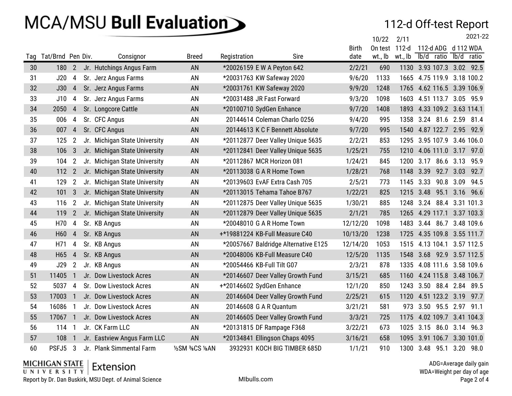### 112-d Off-test Report

|     |                   |                |                               |                   |              |                                      |              | 10/22   | 2/11    |                     | 2021-22                    |
|-----|-------------------|----------------|-------------------------------|-------------------|--------------|--------------------------------------|--------------|---------|---------|---------------------|----------------------------|
|     |                   |                |                               |                   |              |                                      | <b>Birth</b> | On test | $112-d$ |                     | 112-d ADG d 112 WDA        |
| Tag | Tat/Brnd Pen Div. |                | Consignor                     | <b>Breed</b>      | Registration | Sire                                 | date         | wt., lb | wt., lb | lb/d ratio          | lb/d ratio                 |
| 30  | 180               | $\overline{2}$ | Jr. Hutchings Angus Farm      | AN                |              | *20026159 E W A Peyton 642           | 2/2/21       | 690     |         |                     | 1130 3.93 107.3 3.02 92.5  |
| 31  | J20               | 4              | Sr. Jerz Angus Farms          | AN                |              | *20031763 KW Safeway 2020            | 9/6/20       | 1133    | 1665    |                     | 4.75 119.9 3.18 100.2      |
| 32  | J30               | 4              | Sr. Jerz Angus Farms          | AN                |              | *20031761 KW Safeway 2020            | 9/9/20       | 1248    |         |                     | 1765 4.62 116.5 3.39 106.9 |
| 33  | J10               | 4              | Sr. Jerz Angus Farms          | AN                |              | *20031488 JR Fast Forward            | 9/3/20       | 1098    | 1603    |                     | 4.51 113.7 3.05 95.9       |
| 34  | 2050              | 4              | Sr. Longcore Cattle           | AN                |              | *20100710 SydGen Enhance             | 9/7/20       | 1408    | 1893    |                     | 4.33 109.2 3.63 114.1      |
| 35  | 006               | 4              | Sr. CFC Angus                 | AN                |              | 20144614 Coleman Charlo 0256         | 9/4/20       | 995     |         | 1358 3.24 81.6 2.59 | 81.4                       |
| 36  | 007               | 4              | Sr. CFC Angus                 | AN                |              | 20144613 K C F Bennett Absolute      | 9/7/20       | 995     |         |                     | 1540 4.87 122.7 2.95 92.9  |
| 37  | 125               | $\overline{2}$ | Jr. Michigan State University | AN                |              | *20112877 Deer Valley Unique 5635    | 2/2/21       | 853     |         |                     | 1295 3.95 107.9 3.46 106.0 |
| 38  | 106               | 3              | Jr. Michigan State University | AN                |              | *20112841 Deer Valley Unique 5635    | 1/25/21      | 755     |         |                     | 1210 4.06 111.0 3.17 97.0  |
| 39  | 104               | 2              | Jr. Michigan State University | AN                |              | *20112867 MCR Horizon 081            | 1/24/21      | 845     | 1200    | 3.17                | 86.6 3.13<br>95.9          |
| 40  | 112 2             |                | Jr. Michigan State University | AN                |              | *20113038 G A R Home Town            | 1/28/21      | 768     | 1148    |                     | 3.39 92.7 3.03 92.7        |
| 41  | 129               | $\overline{2}$ | Jr. Michigan State University | AN                |              | *20139603 EvAF Extra Cash 705        | 2/5/21       | 773     | 1145    | 3.33                | 90.8 3.09<br>94.5          |
| 42  | 101               | 3              | Jr. Michigan State University | AN                |              | *20113015 Tehama Tahoe B767          | 1/22/21      | 825     |         |                     | 1215 3.48 95.1 3.16 96.6   |
| 43  | 116               | $\overline{2}$ | Jr. Michigan State University | AN                |              | *20112875 Deer Valley Unique 5635    | 1/30/21      | 885     | 1248    | 3.24                | 88.4 3.31 101.3            |
| 44  | 119               | $\overline{2}$ | Jr. Michigan State University | AN                |              | *20112879 Deer Valley Unique 5635    | 2/1/21       | 785     | 1265    |                     | 4.29 117.1 3.37 103.3      |
| 45  | H70               | 4              | Sr. KB Angus                  | AN                |              | *20048010 G A R Home Town            | 12/12/20     | 1098    | 1483    |                     | 3.44 86.7 3.48 109.6       |
| 46  | H60               | 4              | Sr. KB Angus                  | AN                |              | +*19881224 KB-Full Measure C40       | 10/13/20     | 1238    |         |                     | 1725 4.35 109.8 3.55 111.7 |
| 47  | H71               | 4              | Sr. KB Angus                  | AN                |              | *20057667 Baldridge Alternative E125 | 12/14/20     | 1053    |         |                     | 1515 4.13 104.1 3.57 112.5 |
| 48  | H65               | 4              | Sr. KB Angus                  | AN                |              | *20048006 KB-Full Measure C40        | 12/5/20      | 1135    | 1548    |                     | 3.68 92.9 3.57 112.5       |
| 49  | J29               | $\overline{2}$ | Jr. KB Angus                  | AN                |              | *20054466 KB-Full Tilt G07           | 2/3/21       | 878     |         |                     | 1335 4.08 111.6 3.58 109.6 |
| 51  | 11405             | $\mathbf{1}$   | Jr. Dow Livestock Acres       | AN                |              | *20146607 Deer Valley Growth Fund    | 3/15/21      | 685     |         |                     | 1160 4.24 115.8 3.48 106.7 |
| 52  | 5037              | 4              | Sr. Dow Livestock Acres       | AN                |              | +*20146602 SydGen Enhance            | 12/1/20      | 850     |         |                     | 1243 3.50 88.4 2.84 89.5   |
| 53  | 17003             | $\overline{1}$ | Jr. Dow Livestock Acres       | AN                |              | 20146604 Deer Valley Growth Fund     | 2/25/21      | 615     | 1120    | 4.51 123.2 3.19     | 97.7                       |
| 54  | 16086             | -1             | Jr. Dow Livestock Acres       | AN                |              | 20146608 G A R Quantum               | 3/21/21      | 581     | 973     | 3.50 95.5 2.97      | 91.1                       |
| 55  | 17067             | $\overline{1}$ | Jr. Dow Livestock Acres       | AN                |              | 20146605 Deer Valley Growth Fund     | 3/3/21       | 725     | 1175    |                     | 4.02 109.7 3.41 104.3      |
| 56  | 114               | - 1            | Jr. CK Farm LLC               | AN                |              | *20131815 DF Rampage F368            | 3/22/21      | 673     | 1025    |                     | 3.15 86.0 3.14 96.3        |
| 57  | 108               |                | Jr. Eastview Angus Farm LLC   | AN                |              | *20134841 Ellingson Chaps 4095       | 3/16/21      | 658     | 1095    |                     | 3.91 106.7 3.30 101.0      |
| 60  | PSFJ5             | -3             | Jr. Plank Simmental Farm      | 1/2SM 3/8CS 1/8AN |              | 3932931 KOCH BIG TIMBER 685D         | 1/1/21       | 910     | 1300    | 3.48<br>95.1        | 3.20<br>98.0               |

#### $MICHIGAN STATEUNIVE R SETY$  Extension

Report by Dr. Dan Buskirk, MSU Dept. of Animal Science MIDU MIDUIS.com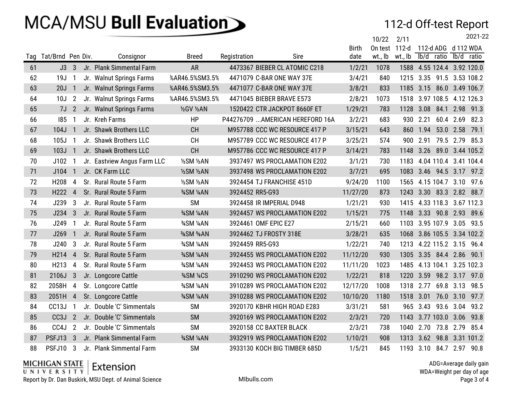### 112-d Off-test Report

|     |                   |                |                             |                |                 |                                  |              | 10/22   | 2/11    |            |                            |            | 2021-22 |
|-----|-------------------|----------------|-----------------------------|----------------|-----------------|----------------------------------|--------------|---------|---------|------------|----------------------------|------------|---------|
|     |                   |                |                             |                |                 |                                  | <b>Birth</b> | On test | 112-d   |            | 112-d ADG d 112 WDA        |            |         |
| Tag | Tat/Brnd Pen Div. |                | Consignor                   | <b>Breed</b>   | Registration    | Sire                             | date         | wt., lb | wt., lb | lb/d ratio |                            | lb/d ratio |         |
| 61  | $J3$ 3            |                | Jr. Plank Simmental Farm    | <b>AR</b>      |                 | 4473367 BIEBER CL ATOMIC C218    | 1/2/21       | 1078    |         |            | 1588 4.55 124.4 3.92 120.0 |            |         |
| 62  | 19J               | $\overline{1}$ | Jr. Walnut Springs Farms    | %AR46.5%SM3.5% |                 | 4471079 C-BAR ONE WAY 37E        | 3/4/21       | 840     |         |            | 1215 3.35 91.5 3.53 108.2  |            |         |
| 63  | 20J               | $\overline{1}$ | Jr. Walnut Springs Farms    | %AR46.5%SM3.5% |                 | 4471077 C-BAR ONE WAY 37E        | 3/8/21       | 833     |         |            | 1185 3.15 86.0 3.49 106.7  |            |         |
| 64  | 10J               | $\overline{2}$ | Jr. Walnut Springs Farms    | %AR46.5%SM3.5% |                 | 4471045 BIEBER BRAVE E573        | 2/8/21       | 1073    |         |            | 1518 3.97 108.5 4.12 126.3 |            |         |
| 65  | 7J                | $\overline{2}$ | Jr. Walnut Springs Farms    | 1/2GV 1/2AN    |                 | 1520422 CTR JACKPOT 8660F ET     | 1/29/21      | 783     | 1128    | 3.08       | 84.1 2.98 91.3             |            |         |
| 66  | 185               | 1              | Jr. Kreh Farms              | HP             |                 | P44276709  AMERICAN HEREFORD 16A | 3/2/21       | 683     | 930     | 2.21       | 60.4 2.69                  |            | 82.3    |
| 67  | 104J              | -1             | Jr. Shawk Brothers LLC      | <b>CH</b>      |                 | M957788 CCC WC RESOURCE 417 P    | 3/15/21      | 643     | 860     | 1.94       | 53.0 2.58                  |            | 79.1    |
| 68  | 105J 1            |                | Jr. Shawk Brothers LLC      | <b>CH</b>      |                 | M957789 CCC WC RESOURCE 417 P    | 3/25/21      | 574     |         |            | 900 2.91 79.5 2.79 85.3    |            |         |
| 69  | 103J 1            |                | Jr. Shawk Brothers LLC      | <b>CH</b>      |                 | M957786 CCC WC RESOURCE 417 P    | 3/14/21      | 783     | 1148    | 3.26       | 89.0 3.44 105.2            |            |         |
| 70  | J102              | $\overline{1}$ | Jr. Eastview Angus Farm LLC | 1/2SM 1/2AN    |                 | 3937497 WS PROCLAMATION E202     | 3/1/21       | 730     | 1183    |            | 4.04 110.4 3.41 104.4      |            |         |
| 71  | J104              | $\mathbf{1}$   | Jr. CK Farm LLC             | 1/2SM 1/2AN    |                 | 3937498 WS PROCLAMATION E202     | 3/7/21       | 695     | 1083    |            | 3.46 94.5 3.17 97.2        |            |         |
| 72  | H <sub>208</sub>  | 4              | Sr. Rural Route 5 Farm      | 1/2SM 1/2AN    |                 | 3924454 TJ FRANCHISE 451D        | 9/24/20      | 1100    | 1565    |            | 4.15 104.7 3.10            |            | 97.6    |
| 73  | H222 4            |                | Sr. Rural Route 5 Farm      | 3/4SM 1/4AN    | 3924452 RR5-G93 |                                  | 11/27/20     | 873     |         |            | 1243 3.30 83.3 2.82 88.7   |            |         |
| 74  | J239              | 3              | Jr. Rural Route 5 Farm      | <b>SM</b>      |                 | 3924458 IR IMPERIAL D948         | 1/21/21      | 930     | 1415    |            | 4.33 118.3 3.67 112.3      |            |         |
| 75  | J234              | $\mathbf{3}$   | Jr. Rural Route 5 Farm      | 3/4SM 1/4AN    |                 | 3924457 WS PROCLAMATION E202     | 1/15/21      | 775     | 1148    |            | 3.33 90.8 2.93 89.6        |            |         |
| 76  | J249              | -1             | Jr. Rural Route 5 Farm      | 3/4SM 1/4AN    |                 | 3924461 OMF EPIC E27             | 2/15/21      | 660     | 1103    |            | 3.95 107.9 3.05 93.5       |            |         |
| 77  | J269              | $\mathbf{1}$   | Jr. Rural Route 5 Farm      | %SM %AN        |                 | 3924462 TJ FROSTY 318E           | 3/28/21      | 635     | 1068    |            | 3.86 105.5 3.34 102.2      |            |         |
| 78  | J240              | 3              | Jr. Rural Route 5 Farm      | 3/4SM 1/4AN    | 3924459 RR5-G93 |                                  | 1/22/21      | 740     |         |            | 1213 4.22 115.2 3.15 96.4  |            |         |
| 79  | H <sub>214</sub>  | $\overline{4}$ | Sr. Rural Route 5 Farm      | 3/4SM 1/4AN    |                 | 3924455 WS PROCLAMATION E202     | 11/12/20     | 930     | 1305    |            | 3.35 84.4 2.86 90.1        |            |         |
| 80  | H213              | 4              | Sr. Rural Route 5 Farm      | 3/4SM 1/4AN    |                 | 3924453 WS PROCLAMATION E202     | 11/11/20     | 1023    |         |            | 1485 4.13 104.1 3.25 102.3 |            |         |
| 81  | 2106J             | $\mathbf{3}$   | Jr. Longcore Cattle         | 34SM 14CS      |                 | 3910290 WS PROCLAMATION E202     | 1/22/21      | 818     | 1220    |            | 3.59 98.2 3.17 97.0        |            |         |
| 82  | 2058H             | 4              | Sr. Longcore Cattle         | 3/4SM 1/4AN    |                 | 3910289 WS PROCLAMATION E202     | 12/17/20     | 1008    |         | 1318 2.77  | 69.8 3.13                  |            | 98.5    |
| 83  | 2051H             | $\overline{4}$ | Sr. Longcore Cattle         | 3/4SM 1/4AN    |                 | 3910288 WS PROCLAMATION E202     | 10/10/20     | 1180    | 1518    |            | 3.01 76.0 3.10             |            | 97.7    |
| 84  | CC13J             | $\mathbf{1}$   | Jr. Double 'C' Simmentals   | <b>SM</b>      |                 | 3920170 KBHR HIGH ROAD E283      | 3/31/21      | 581     | 965     |            | 3.43 93.6 3.04             |            | 93.2    |
| 85  | CC <sub>3</sub> J | $\overline{2}$ | Jr. Double 'C' Simmentals   | <b>SM</b>      |                 | 3920169 WS PROCLAMATION E202     | 2/3/21       | 720     | 1143    |            | 3.77 103.0 3.06            |            | 93.8    |
| 86  | CC4J              | $\overline{2}$ | Jr. Double 'C' Simmentals   | <b>SM</b>      |                 | 3920158 CC BAXTER BLACK          | 2/3/21       | 738     |         |            | 1040 2.70 73.8 2.79 85.4   |            |         |
| 87  | PSFJ13            | $\overline{3}$ | Jr. Plank Simmental Farm    | 3/4SM 1/4AN    |                 | 3932919 WS PROCLAMATION E202     | 1/10/21      | 908     | 1313    |            | 3.62 98.8 3.31 101.2       |            |         |
| 88  | PSFJ10 3          |                | Jr. Plank Simmental Farm    | <b>SM</b>      |                 | 3933130 KOCH BIG TIMBER 685D     | 1/5/21       | 845     | 1193    |            | 3.10 84.7 2.97 90.8        |            |         |

#### $MICHIGAN STATEUNIVE R SETY$  Extension

Report by Dr. Dan Buskirk, MSU Dept. of Animal Science MIDU MIDUIS.com